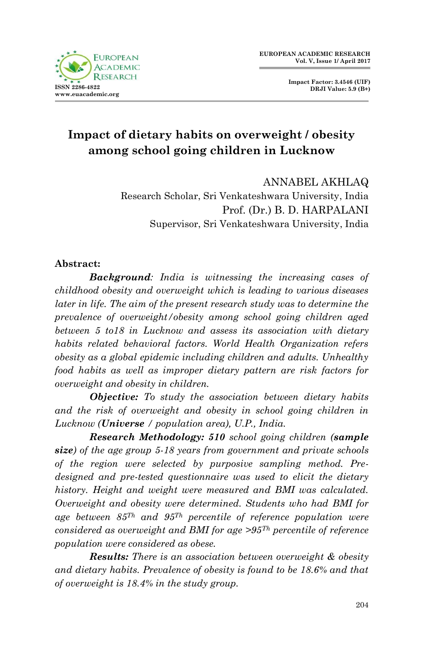

**Impact Factor: 3.4546 (UIF) DRJI Value: 5.9 (B+)**

# **Impact of dietary habits on overweight / obesity among school going children in Lucknow**

ANNABEL AKHLAQ Research Scholar, Sri Venkateshwara University, India Prof. (Dr.) B. D. HARPALANI Supervisor, Sri Venkateshwara University, India

#### **Abstract:**

*Background: India is witnessing the increasing cases of childhood obesity and overweight which is leading to various diseases later in life. The aim of the present research study was to determine the prevalence of overweight/obesity among school going children aged between 5 to18 in Lucknow and assess its association with dietary habits related behavioral factors. World Health Organization refers obesity as a global epidemic including children and adults. Unhealthy food habits as well as improper dietary pattern are risk factors for overweight and obesity in children.*

*Objective: To study the association between dietary habits*  and the risk of overweight and obesity in school going children in *Lucknow (Universe / population area), U.P., India.*

*Research Methodology: 510 school going children (sample size) of the age group 5-18 years from government and private schools of the region were selected by purposive sampling method. Predesigned and pre-tested questionnaire was used to elicit the dietary history. Height and weight were measured and BMI was calculated. Overweight and obesity were determined. Students who had BMI for age between 85Th and 95Th percentile of reference population were considered as overweight and BMI for age >95Th percentile of reference population were considered as obese.* 

*Results: There is an association between overweight & obesity and dietary habits. Prevalence of obesity is found to be 18.6% and that of overweight is 18.4% in the study group.*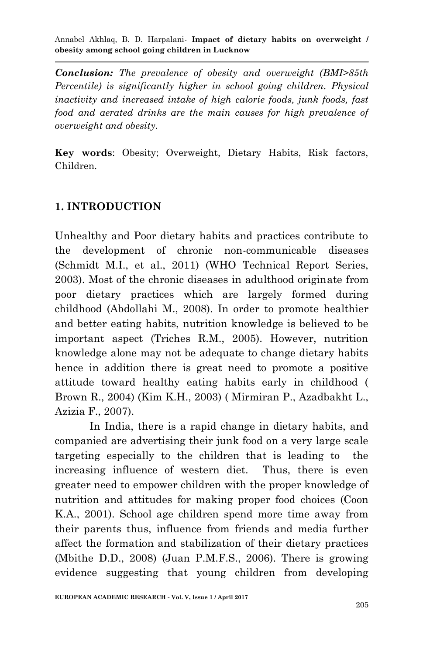*Conclusion: The prevalence of obesity and overweight (BMI>85th Percentile) is significantly higher in school going children. Physical inactivity and increased intake of high calorie foods, junk foods, fast*  food and aerated drinks are the main causes for high prevalence of *overweight and obesity.*

**Key words**: Obesity; Overweight, Dietary Habits, Risk factors, Children.

## **1. INTRODUCTION**

Unhealthy and Poor dietary habits and practices contribute to the development of chronic non-communicable diseases (Schmidt M.I., et al., 2011) (WHO Technical Report Series, 2003). Most of the chronic diseases in adulthood originate from poor dietary practices which are largely formed during childhood (Abdollahi M., 2008). In order to promote healthier and better eating habits, nutrition knowledge is believed to be important aspect (Triches R.M., 2005). However, nutrition knowledge alone may not be adequate to change dietary habits hence in addition there is great need to promote a positive attitude toward healthy eating habits early in childhood ( Brown R., 2004) (Kim K.H., 2003) ( Mirmiran P., Azadbakht L., Azizia F., 2007).

In India, there is a rapid change in dietary habits, and companied are advertising their junk food on a very large scale targeting especially to the children that is leading to the increasing influence of western diet. Thus, there is even greater need to empower children with the proper knowledge of nutrition and attitudes for making proper food choices (Coon K.A., 2001). School age children spend more time away from their parents thus, influence from friends and media further affect the formation and stabilization of their dietary practices (Mbithe D.D., 2008) (Juan P.M.F.S., 2006). There is growing evidence suggesting that young children from developing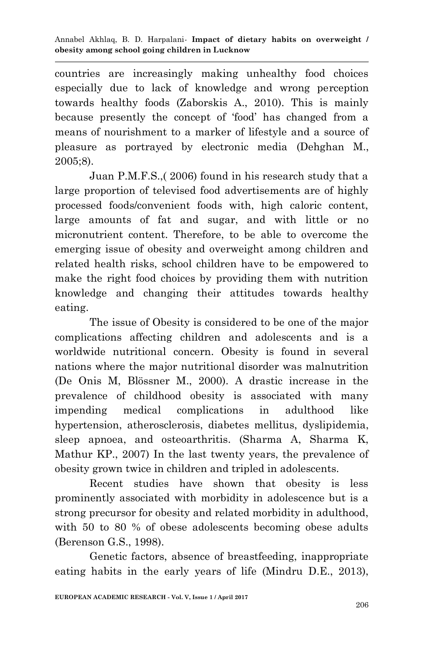countries are increasingly making unhealthy food choices especially due to lack of knowledge and wrong perception towards healthy foods (Zaborskis A., 2010). This is mainly because presently the concept of "food" has changed from a means of nourishment to a marker of lifestyle and a source of pleasure as portrayed by electronic media (Dehghan M., 2005;8).

Juan P.M.F.S.,( 2006) found in his research study that a large proportion of televised food advertisements are of highly processed foods/convenient foods with, high caloric content, large amounts of fat and sugar, and with little or no micronutrient content. Therefore, to be able to overcome the emerging issue of obesity and overweight among children and related health risks, school children have to be empowered to make the right food choices by providing them with nutrition knowledge and changing their attitudes towards healthy eating.

The issue of Obesity is considered to be one of the major complications affecting children and adolescents and is a worldwide nutritional concern. Obesity is found in several nations where the major nutritional disorder was malnutrition (De Onis M, Blössner M., 2000). A drastic increase in the prevalence of childhood obesity is associated with many impending medical complications in adulthood like hypertension, atherosclerosis, diabetes mellitus, dyslipidemia, sleep apnoea, and osteoarthritis. (Sharma A, Sharma K, Mathur KP., 2007) In the last twenty years, the prevalence of obesity grown twice in children and tripled in adolescents.

Recent studies have shown that obesity is less prominently associated with morbidity in adolescence but is a strong precursor for obesity and related morbidity in adulthood, with 50 to 80 % of obese adolescents becoming obese adults (Berenson G.S., 1998).

Genetic factors, absence of breastfeeding, inappropriate eating habits in the early years of life (Mindru D.E., 2013),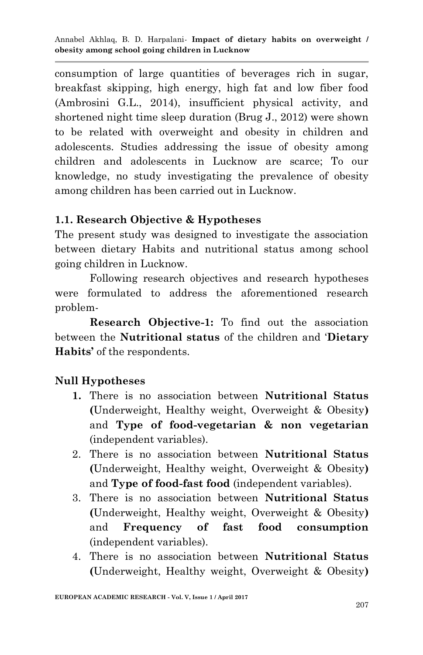consumption of large quantities of beverages rich in sugar, breakfast skipping, high energy, high fat and low fiber food (Ambrosini G.L., 2014), insufficient physical activity, and shortened night time sleep duration (Brug J., 2012) were shown to be related with overweight and obesity in children and adolescents. Studies addressing the issue of obesity among children and adolescents in Lucknow are scarce; To our knowledge, no study investigating the prevalence of obesity among children has been carried out in Lucknow.

## **1.1. Research Objective & Hypotheses**

The present study was designed to investigate the association between dietary Habits and nutritional status among school going children in Lucknow.

Following research objectives and research hypotheses were formulated to address the aforementioned research problem-

**Research Objective-1:** To find out the association between the **Nutritional status** of the children and "**Dietary Habits'** of the respondents.

## **Null Hypotheses**

- **1.** There is no association between **Nutritional Status (**Underweight, Healthy weight, Overweight & Obesity**)**  and **Type of food-vegetarian & non vegetarian** (independent variables).
- 2. There is no association between **Nutritional Status (**Underweight, Healthy weight, Overweight & Obesity**)**  and **Type of food-fast food** (independent variables).
- 3. There is no association between **Nutritional Status (**Underweight, Healthy weight, Overweight & Obesity**)**  and **Frequency of fast food consumption** (independent variables).
- 4. There is no association between **Nutritional Status (**Underweight, Healthy weight, Overweight & Obesity**)**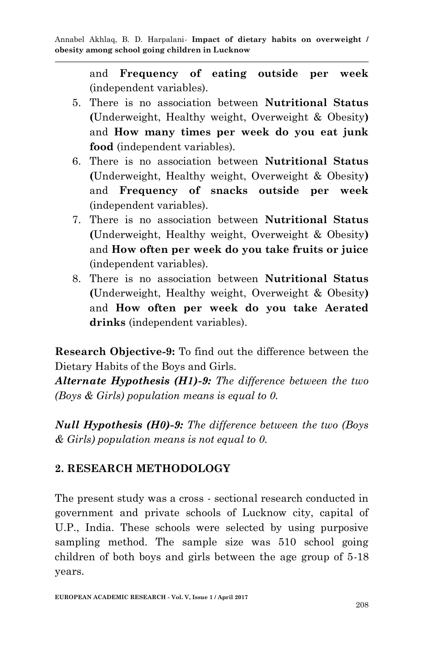and **Frequency of eating outside per week** (independent variables).

- 5. There is no association between **Nutritional Status (**Underweight, Healthy weight, Overweight & Obesity**)**  and **How many times per week do you eat junk food** (independent variables).
- 6. There is no association between **Nutritional Status (**Underweight, Healthy weight, Overweight & Obesity**)**  and **Frequency of snacks outside per week**  (independent variables).
- 7. There is no association between **Nutritional Status (**Underweight, Healthy weight, Overweight & Obesity**)**  and **How often per week do you take fruits or juice** (independent variables).
- 8. There is no association between **Nutritional Status (**Underweight, Healthy weight, Overweight & Obesity**)**  and **How often per week do you take Aerated drinks** (independent variables).

**Research Objective-9:** To find out the difference between the Dietary Habits of the Boys and Girls.

*Alternate Hypothesis (H1)-9: The difference between the two (Boys & Girls) population means is equal to 0.*

*Null Hypothesis (H0)-9: The difference between the two (Boys & Girls) population means is not equal to 0.*

# **2. RESEARCH METHODOLOGY**

The present study was a cross - sectional research conducted in government and private schools of Lucknow city, capital of U.P., India. These schools were selected by using purposive sampling method. The sample size was 510 school going children of both boys and girls between the age group of 5-18 years.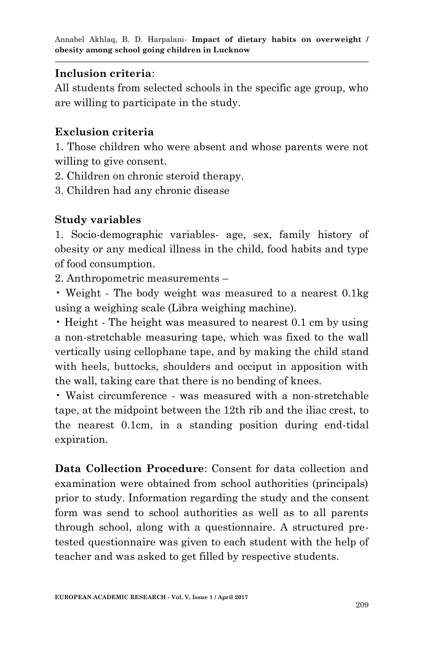## **Inclusion criteria**:

All students from selected schools in the specific age group, who are willing to participate in the study.

# **Exclusion criteria**

1. Those children who were absent and whose parents were not willing to give consent.

2. Children on chronic steroid therapy.

3. Children had any chronic disease

# **Study variables**

1. Socio-demographic variables- age, sex, family history of obesity or any medical illness in the child, food habits and type of food consumption.

2. Anthropometric measurements –

• Weight - The body weight was measured to a nearest 0.1kg using a weighing scale (Libra weighing machine).

• Height - The height was measured to nearest 0.1 cm by using a non-stretchable measuring tape, which was fixed to the wall vertically using cellophane tape, and by making the child stand with heels, buttocks, shoulders and occiput in apposition with the wall, taking care that there is no bending of knees.

• Waist circumference - was measured with a non-stretchable tape, at the midpoint between the 12th rib and the iliac crest, to the nearest 0.1cm, in a standing position during end-tidal expiration.

**Data Collection Procedure**: Consent for data collection and examination were obtained from school authorities (principals) prior to study. Information regarding the study and the consent form was send to school authorities as well as to all parents through school, along with a questionnaire. A structured pretested questionnaire was given to each student with the help of teacher and was asked to get filled by respective students.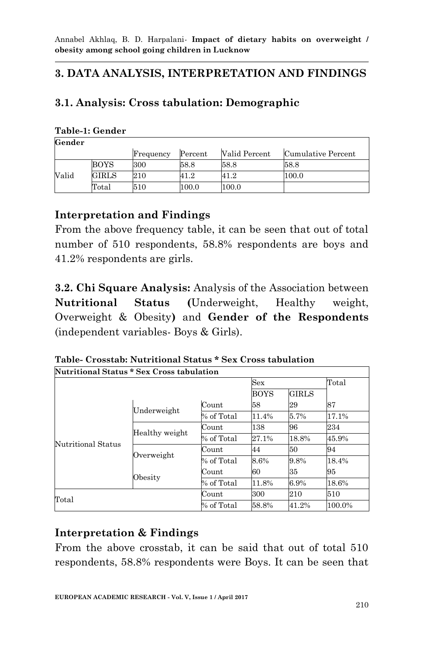# **3. DATA ANALYSIS, INTERPRETATION AND FINDINGS**

# **3.1. Analysis: Cross tabulation: Demographic**

#### **Table-1: Gender**

**Gender**

|       |                | Frequency | Percent | Valid Percent | Cumulative Percent |
|-------|----------------|-----------|---------|---------------|--------------------|
|       | BOYS           | 300       | 58.8    | 58.8          | 58.8               |
| Valid | GIRLS          | $\rm 210$ | 41.2    | 41.2          | 100.0              |
|       | $_{\rm Total}$ | 510       | 100.0   | 100.0         |                    |

## **Interpretation and Findings**

From the above frequency table, it can be seen that out of total number of 510 respondents, 58.8% respondents are boys and 41.2% respondents are girls.

**3.2. Chi Square Analysis:** Analysis of the Association between **Nutritional Status (**Underweight, Healthy weight, Overweight & Obesity**)** and **Gender of the Respondents**  (independent variables- Boys & Girls).

**Table- Crosstab: Nutritional Status \* Sex Cross tabulation Nutritional Status \* Sex Cross tabulation**

|                    |                |                       | <b>Sex</b>                  |       |        |  |
|--------------------|----------------|-----------------------|-----------------------------|-------|--------|--|
|                    |                |                       | <b>GIRLS</b><br><b>BOYS</b> |       |        |  |
|                    | Underweight    | Count                 | 58                          | 29    | 87     |  |
|                    |                | % of Total            | 11.4%                       | 5.7%  | 17.1%  |  |
|                    |                | Count                 | 138                         | 96    | 234    |  |
|                    | Healthy weight | % of Total            | 27.1%                       | 18.8% | 45.9%  |  |
| Nutritional Status | Overweight     | Count                 | 44                          | 50    | 94     |  |
|                    |                | % of Total            | 8.6%                        | 9.8%  | 18.4%  |  |
|                    |                | Count                 | 60                          | 35    | 95     |  |
|                    |                | Obesity<br>% of Total |                             | 6.9%  | 18.6%  |  |
| Total              |                | Count                 | 300                         | 210   | 510    |  |
|                    |                | % of Total            | 58.8%                       | 41.2% | 100.0% |  |

## **Interpretation & Findings**

From the above crosstab, it can be said that out of total 510 respondents, 58.8% respondents were Boys. It can be seen that

ľ

1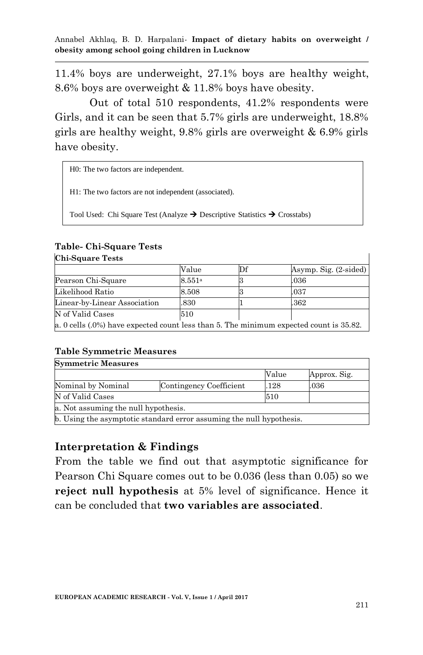11.4% boys are underweight, 27.1% boys are healthy weight, 8.6% boys are overweight & 11.8% boys have obesity.

Out of total 510 respondents, 41.2% respondents were Girls, and it can be seen that 5.7% girls are underweight, 18.8% girls are healthy weight, 9.8% girls are overweight & 6.9% girls have obesity.

H0: The two factors are independent.

H1: The two factors are not independent (associated).

Tool Used: Chi Square Test (Analyze  $\rightarrow$  Descriptive Statistics  $\rightarrow$  Crosstabs)

#### **Table- Chi-Square Tests**

| <b>Chi-Square Tests</b>                                                                |        |    |                                  |  |  |  |
|----------------------------------------------------------------------------------------|--------|----|----------------------------------|--|--|--|
|                                                                                        | Value  | Df | Asymp. Sig. $(2\textrm{-sided})$ |  |  |  |
| Pearson Chi-Square                                                                     | 8.551a |    | $.036\,$                         |  |  |  |
| Likelihood Ratio                                                                       | 8.508  |    | .037                             |  |  |  |
| Linear-by-Linear Association                                                           | .830   |    | .362                             |  |  |  |
| N of Valid Cases                                                                       | 510    |    |                                  |  |  |  |
| a. 0 cells (.0%) have expected count less than 5. The minimum expected count is 35.82. |        |    |                                  |  |  |  |

#### **Table Symmetric Measures**

| <b>Symmetric Measures</b>                                            |                         |       |              |  |  |  |  |
|----------------------------------------------------------------------|-------------------------|-------|--------------|--|--|--|--|
|                                                                      |                         | Value | Approx. Sig. |  |  |  |  |
| Nominal by Nominal                                                   | Contingency Coefficient | .128  | $.036\,$     |  |  |  |  |
| N of Valid Cases                                                     | 510                     |       |              |  |  |  |  |
| a. Not assuming the null hypothesis.                                 |                         |       |              |  |  |  |  |
| b. Using the asymptotic standard error assuming the null hypothesis. |                         |       |              |  |  |  |  |

#### **Interpretation & Findings**

From the table we find out that asymptotic significance for Pearson Chi Square comes out to be 0.036 (less than 0.05) so we **reject null hypothesis** at 5% level of significance. Hence it can be concluded that **two variables are associated**.

 $\mathbf{I}$ 

٦Ì,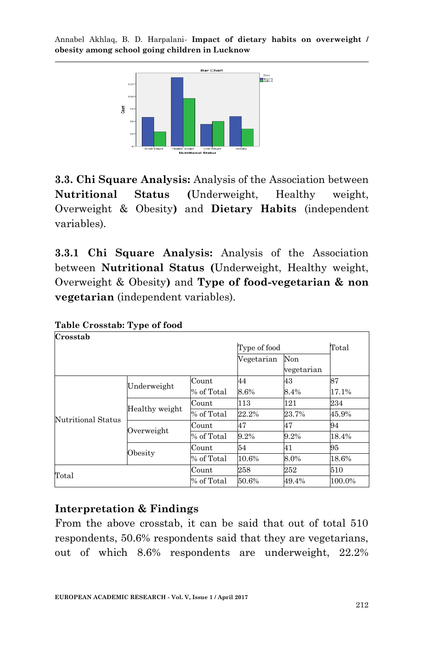

**3.3. Chi Square Analysis:** Analysis of the Association between **Nutritional Status (**Underweight, Healthy weight, Overweight & Obesity**)** and **Dietary Habits** (independent variables).

**3.3.1 Chi Square Analysis:** Analysis of the Association between **Nutritional Status (**Underweight, Healthy weight, Overweight & Obesity**)** and **Type of food-vegetarian & non vegetarian** (independent variables).

| Crosstab           |                       |            |              |                |        |
|--------------------|-----------------------|------------|--------------|----------------|--------|
|                    |                       |            | Type of food | $_{\rm Total}$ |        |
|                    |                       |            | Vegetarian   | Non            |        |
|                    |                       |            |              | vegetarian     |        |
|                    |                       | Count      | 44           | 43             | 87     |
|                    | Underweight           | % of Total | 8.6%         | 8.4%           | 17.1%  |
|                    |                       | Count      | 113          | 121            | 234    |
| Nutritional Status | Healthy weight        | % of Total | 22.2%        | 23.7%          | 45.9%  |
|                    |                       | Count      | 47           | 47             | 94     |
|                    | Overweight            | % of Total | 9.2%         | 9.2%           | 18.4%  |
|                    |                       | Count      | 54           | 41             | 95     |
|                    | Obesity<br>% of Total |            | 10.6%        | 8.0%           | 18.6%  |
| Total              |                       | Count      | 258          | 252            | 510    |
|                    |                       | % of Total | 50.6%        | 49.4%          | 100.0% |

**Table Crosstab: Type of food**

# **Interpretation & Findings**

From the above crosstab, it can be said that out of total 510 respondents, 50.6% respondents said that they are vegetarians, out of which 8.6% respondents are underweight, 22.2%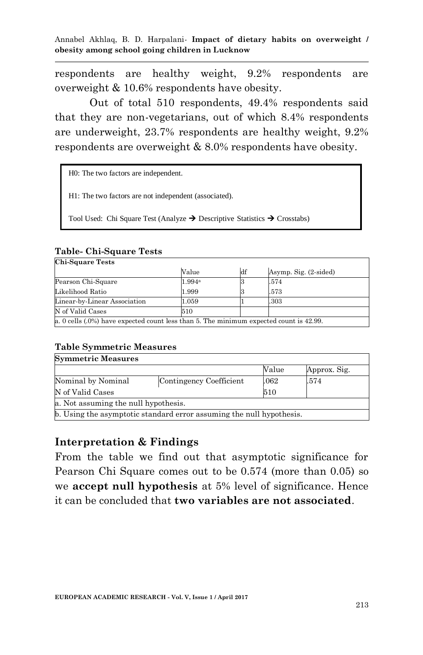respondents are healthy weight, 9.2% respondents are overweight & 10.6% respondents have obesity.

Out of total 510 respondents, 49.4% respondents said that they are non-vegetarians, out of which 8.4% respondents are underweight, 23.7% respondents are healthy weight, 9.2% respondents are overweight & 8.0% respondents have obesity.

H0: The two factors are independent.

H1: The two factors are not independent (associated).

Tool Used: Chi Square Test (Analyze  $\rightarrow$  Descriptive Statistics  $\rightarrow$  Crosstabs)

#### **Table- Chi-Square Tests**

| <b>Chi-Square Tests</b>                                                                   |                    |    |                       |  |  |  |  |
|-------------------------------------------------------------------------------------------|--------------------|----|-----------------------|--|--|--|--|
|                                                                                           | Value              | df | Asymp. Sig. (2-sided) |  |  |  |  |
| Pearson Chi-Square                                                                        | 1.994 <sup>a</sup> |    | .574                  |  |  |  |  |
| Likelihood Ratio                                                                          | 1.999              |    | .573                  |  |  |  |  |
| Linear-by-Linear Association                                                              | 1.059              |    | .303                  |  |  |  |  |
| N of Valid Cases                                                                          | 510                |    |                       |  |  |  |  |
| a. 0 cells $(.0\%)$ have expected count less than 5. The minimum expected count is 42.99. |                    |    |                       |  |  |  |  |

## **Table Symmetric Measures**

| <b>Symmetric Measures</b>                                            |                         |       |              |  |  |  |  |
|----------------------------------------------------------------------|-------------------------|-------|--------------|--|--|--|--|
|                                                                      |                         | Value | Approx. Sig. |  |  |  |  |
| Nominal by Nominal                                                   | Contingency Coefficient | .062  | .574         |  |  |  |  |
| N of Valid Cases                                                     |                         | 510   |              |  |  |  |  |
| a. Not assuming the null hypothesis.                                 |                         |       |              |  |  |  |  |
| b. Using the asymptotic standard error assuming the null hypothesis. |                         |       |              |  |  |  |  |

#### **Interpretation & Findings**

From the table we find out that asymptotic significance for Pearson Chi Square comes out to be 0.574 (more than 0.05) so we **accept null hypothesis** at 5% level of significance. Hence it can be concluded that **two variables are not associated**.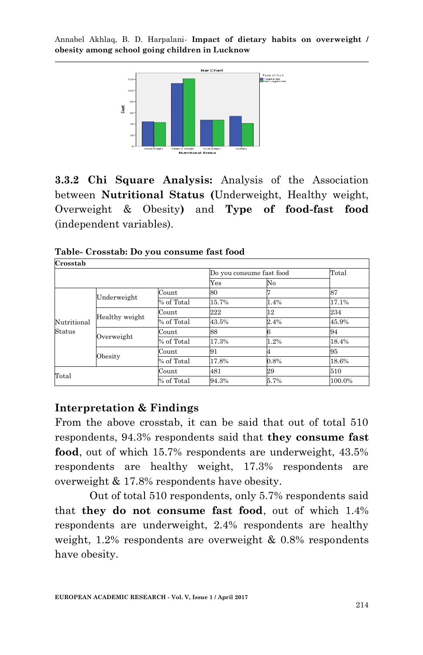

**3.3.2 Chi Square Analysis:** Analysis of the Association between **Nutritional Status (**Underweight, Healthy weight, Overweight & Obesity**)** and **Type of food-fast food** (independent variables).

| Crosstab    |                |            |       |                          |        |
|-------------|----------------|------------|-------|--------------------------|--------|
|             |                |            |       | Do you consume fast food | Total  |
|             |                |            | Yes   | No                       |        |
|             |                | Count      | 80    |                          | 87     |
|             | Underweight    | % of Total | 15.7% | 1.4%                     | 17.1%  |
|             |                | Count      | 222   | 12                       | 234    |
| Nutritional | Healthy weight | % of Total | 43.5% | 2.4%                     | 45.9%  |
| Status      |                | Count      | 88    |                          | 94     |
|             | Overweight     | % of Total | 17.3% | 1.2%                     | 18.4%  |
|             |                | Count      | 91    |                          | 95     |
|             | Obesity        | % of Total | 17.8% | 0.8%                     | 18.6%  |
| Total       |                | Count      | 481   | 29                       | 510    |
|             |                | % of Total | 94.3% | 5.7%                     | 100.0% |

**Table- Crosstab: Do you consume fast food**

## **Interpretation & Findings**

From the above crosstab, it can be said that out of total 510 respondents, 94.3% respondents said that **they consume fast food**, out of which 15.7% respondents are underweight, 43.5% respondents are healthy weight, 17.3% respondents are overweight & 17.8% respondents have obesity.

Out of total 510 respondents, only 5.7% respondents said that **they do not consume fast food**, out of which 1.4% respondents are underweight, 2.4% respondents are healthy weight, 1.2% respondents are overweight & 0.8% respondents have obesity.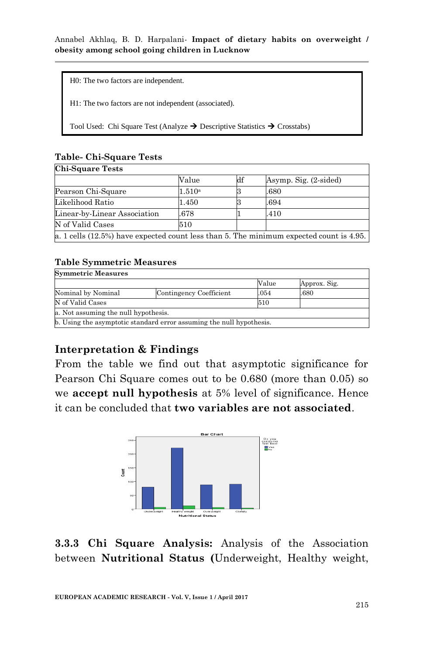H0: The two factors are independent.

H1: The two factors are not independent (associated).

Tool Used: Chi Square Test (Analyze  $\rightarrow$  Descriptive Statistics  $\rightarrow$  Crosstabs)

### **Table- Chi-Square Tests**

#### **Chi-Square Tests**

|                                                                                         | Value  | df | Asymp. Sig. (2-sided) |  |  |  |
|-----------------------------------------------------------------------------------------|--------|----|-----------------------|--|--|--|
| Pearson Chi-Square                                                                      | 1.510a |    | .680                  |  |  |  |
| Likelihood Ratio                                                                        | 1.450  |    | .694                  |  |  |  |
| Linear-by-Linear Association                                                            | .678   |    | .410                  |  |  |  |
| N of Valid Cases                                                                        | 510    |    |                       |  |  |  |
| a. 1 cells (12.5%) have expected count less than 5. The minimum expected count is 4.95. |        |    |                       |  |  |  |

#### **Table Symmetric Measures**

| <b>Symmetric Measures</b>                                            |                         |       |              |  |  |  |  |
|----------------------------------------------------------------------|-------------------------|-------|--------------|--|--|--|--|
|                                                                      |                         | Value | Approx. Sig. |  |  |  |  |
| Nominal by Nominal                                                   | Contingency Coefficient | .054  | .680         |  |  |  |  |
| N of Valid Cases                                                     |                         | 510   |              |  |  |  |  |
| a. Not assuming the null hypothesis.                                 |                         |       |              |  |  |  |  |
| b. Using the asymptotic standard error assuming the null hypothesis. |                         |       |              |  |  |  |  |

# **Interpretation & Findings**

From the table we find out that asymptotic significance for Pearson Chi Square comes out to be 0.680 (more than 0.05) so we **accept null hypothesis** at 5% level of significance. Hence it can be concluded that **two variables are not associated**.



**3.3.3 Chi Square Analysis:** Analysis of the Association between **Nutritional Status (**Underweight, Healthy weight,

٦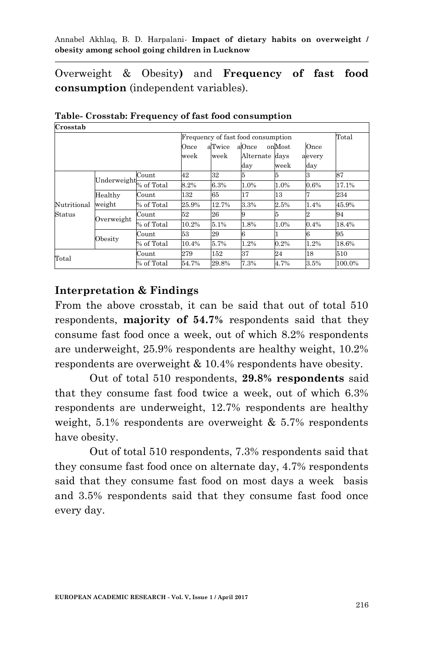Overweight & Obesity**)** and **Frequency of fast food consumption** (independent variables).

| Crosstab                           |                   |            |              |                |                                |                |                                |        |
|------------------------------------|-------------------|------------|--------------|----------------|--------------------------------|----------------|--------------------------------|--------|
| Frequency of fast food consumption |                   |            |              |                |                                |                | Total                          |        |
|                                    |                   |            | Once<br>week | aTwice<br>week | aOnce<br>Alternate days<br>day | onMost<br>week | Once<br>aevery<br>$_{\rm day}$ |        |
|                                    | Underweight       | Count      | 42           | 32             | 5                              | 5              | З                              | 87     |
|                                    |                   | % of Total | 8.2%         | 6.3%           | 1.0%                           | 1.0%           | 0.6%                           | 17.1%  |
|                                    | Healthy<br>weight | Count      | 132          | 65             | 17                             | 13             |                                | 234    |
| Nutritional                        |                   | % of Total | 25.9%        | 12.7%          | 3.3%                           | 2.5%           | 1.4%                           | 45.9%  |
| Status                             |                   | Count      | 52           | 26             | 9                              | 5              |                                | 94     |
|                                    | Overweight        | % of Total | 10.2%        | 5.1%           | 1.8%                           | 1.0%           | 0.4%                           | 18.4%  |
|                                    |                   | Count      | 53           | 29             | 6                              |                | 6                              | 95     |
|                                    | Obesity           | % of Total | 10.4%        | 5.7%           | 1.2%                           | 0.2%           | 1.2%                           | 18.6%  |
| Count<br>$_{\rm Total}$            |                   |            | 279          | 152            | 37                             | 24             | 18                             | 510    |
|                                    |                   | % of Total | 54.7%        | 29.8%          | 7.3%                           | 4.7%           | 3.5%                           | 100.0% |

**Table- Crosstab: Frequency of fast food consumption Crosstab**

## **Interpretation & Findings**

From the above crosstab, it can be said that out of total 510 respondents, **majority of 54.7%** respondents said that they consume fast food once a week, out of which 8.2% respondents are underweight, 25.9% respondents are healthy weight, 10.2% respondents are overweight & 10.4% respondents have obesity.

Out of total 510 respondents, **29.8% respondents** said that they consume fast food twice a week, out of which 6.3% respondents are underweight, 12.7% respondents are healthy weight,  $5.1\%$  respondents are overweight  $\& 5.7\%$  respondents have obesity.

Out of total 510 respondents, 7.3% respondents said that they consume fast food once on alternate day, 4.7% respondents said that they consume fast food on most days a week basis and 3.5% respondents said that they consume fast food once every day.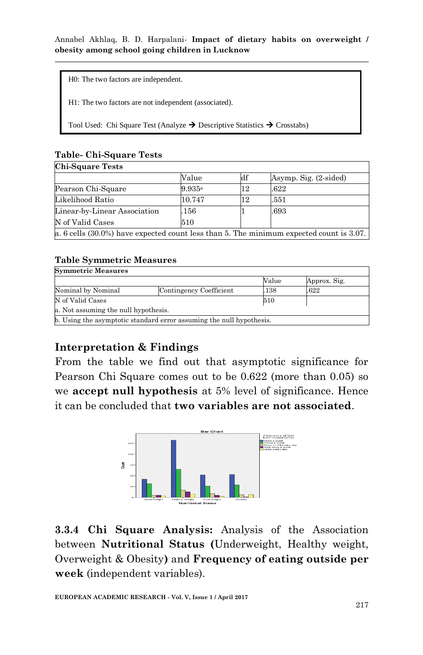H0: The two factors are independent.

H1: The two factors are not independent (associated).

Tool Used: Chi Square Test (Analyze  $\rightarrow$  Descriptive Statistics  $\rightarrow$  Crosstabs)

#### **Table- Chi-Square Tests**

| <b>Chi-Square Tests</b>                                                                 |        |    |                       |
|-----------------------------------------------------------------------------------------|--------|----|-----------------------|
|                                                                                         | Value  | df | Asymp. Sig. (2-sided) |
| Pearson Chi-Square                                                                      | 9.935a | 12 | .622                  |
| Likelihood Ratio                                                                        | 10.747 | 12 | .551                  |
| Linear-by-Linear Association                                                            | 156    |    | .693                  |
| N of Valid Cases                                                                        | 510    |    |                       |
| a. 6 cells (30.0%) have expected count less than 5. The minimum expected count is 3.07. |        |    |                       |

#### **Table Symmetric Measures**

| <b>Symmetric Measures</b>            |                                                                      |       |              |
|--------------------------------------|----------------------------------------------------------------------|-------|--------------|
|                                      |                                                                      | Value | Approx. Sig. |
| Nominal by Nominal                   | Contingency Coefficient                                              | .138  | .622         |
| N of Valid Cases                     |                                                                      | 510   |              |
| a. Not assuming the null hypothesis. |                                                                      |       |              |
|                                      | b. Using the asymptotic standard error assuming the null hypothesis. |       |              |

# **Interpretation & Findings**

From the table we find out that asymptotic significance for Pearson Chi Square comes out to be 0.622 (more than 0.05) so we **accept null hypothesis** at 5% level of significance. Hence it can be concluded that **two variables are not associated**.



**3.3.4 Chi Square Analysis:** Analysis of the Association between **Nutritional Status (**Underweight, Healthy weight, Overweight & Obesity**)** and **Frequency of eating outside per week** (independent variables).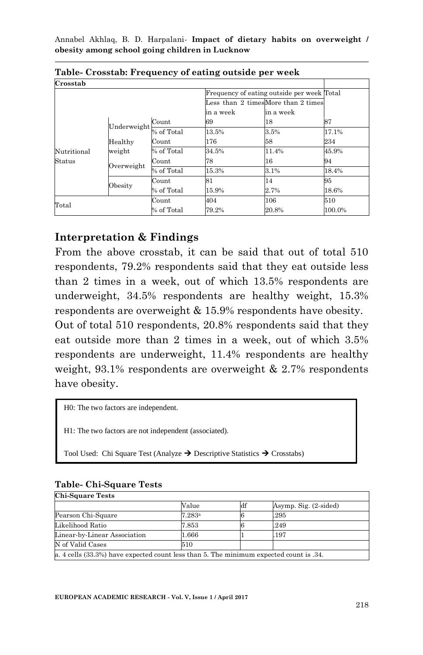| Crosstab    |                     |            |           |                                            |        |
|-------------|---------------------|------------|-----------|--------------------------------------------|--------|
|             |                     |            |           | Frequency of eating outside per week Total |        |
|             |                     |            |           | Less than 2 timesMore than 2 times         |        |
|             |                     |            | in a week | in a week                                  |        |
|             | Underweight         | Count      | 69        | 18                                         | 87     |
|             |                     | % of Total | 13.5%     | 3.5%                                       | 17.1%  |
|             | Healthy<br>weight   | Count      | 176       | 58                                         | 234    |
| Nutritional |                     | % of Total | 34.5%     | 11.4%                                      | 45.9%  |
| Status      | Overweight          | Count      | 78        | 16                                         | 94     |
|             |                     | % of Total | 15.3%     | 3.1%                                       | 18.4%  |
|             | Obesity             | Count      | 81        | 14                                         | 95     |
|             |                     | % of Total | 15.9%     | 2.7%                                       | 18.6%  |
|             | Total<br>% of Total |            | 404       | 106                                        | 510    |
|             |                     |            | 79.2%     | 20.8%                                      | 100.0% |

**Table- Crosstab: Frequency of eating outside per week**

## **Interpretation & Findings**

From the above crosstab, it can be said that out of total 510 respondents, 79.2% respondents said that they eat outside less than 2 times in a week, out of which 13.5% respondents are underweight, 34.5% respondents are healthy weight, 15.3% respondents are overweight & 15.9% respondents have obesity.

Out of total 510 respondents, 20.8% respondents said that they eat outside more than 2 times in a week, out of which 3.5% respondents are underweight, 11.4% respondents are healthy weight, 93.1% respondents are overweight & 2.7% respondents have obesity.

H0: The two factors are independent.

H1: The two factors are not independent (associated).

Tool Used: Chi Square Test (Analyze  $\rightarrow$  Descriptive Statistics  $\rightarrow$  Crosstabs)

| Table- Chi-Square Tests |  |
|-------------------------|--|
| $Ch$ ; $Couono Toote$   |  |

| <b>ULL-DUUALE LESTS</b>                                                                |        |    |                       |  |  |  |
|----------------------------------------------------------------------------------------|--------|----|-----------------------|--|--|--|
|                                                                                        | Value  | df | Asymp. Sig. (2-sided) |  |  |  |
| Pearson Chi-Square                                                                     | 7.283a |    | .295                  |  |  |  |
| Likelihood Ratio                                                                       | 7.853  |    | .249                  |  |  |  |
| Linear-by-Linear Association                                                           | 1.666  |    | .197                  |  |  |  |
| N of Valid Cases                                                                       | 510    |    |                       |  |  |  |
| a. 4 cells (33.3%) have expected count less than 5. The minimum expected count is .34. |        |    |                       |  |  |  |

٦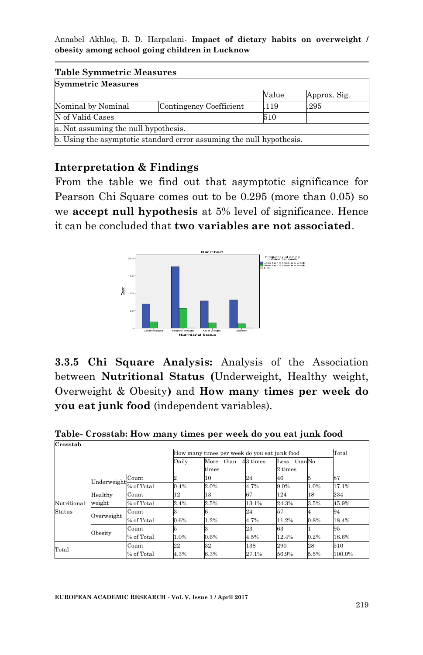| <b>Table Symmetric Measures</b>      |                                                                      |       |              |  |  |  |
|--------------------------------------|----------------------------------------------------------------------|-------|--------------|--|--|--|
| <b>Symmetric Measures</b>            |                                                                      |       |              |  |  |  |
|                                      |                                                                      | Value | Approx. Sig. |  |  |  |
| Nominal by Nominal                   | Contingency Coefficient                                              | .119  | .295         |  |  |  |
| N of Valid Cases<br>510              |                                                                      |       |              |  |  |  |
| a. Not assuming the null hypothesis. |                                                                      |       |              |  |  |  |
|                                      | b. Using the asymptotic standard error assuming the null hypothesis. |       |              |  |  |  |

## **Interpretation & Findings**

From the table we find out that asymptotic significance for Pearson Chi Square comes out to be 0.295 (more than 0.05) so we **accept null hypothesis** at 5% level of significance. Hence it can be concluded that **two variables are not associated**.



**3.3.5 Chi Square Analysis:** Analysis of the Association between **Nutritional Status (**Underweight, Healthy weight, Overweight & Obesity**)** and **How many times per week do you eat junk food** (independent variables).

**Table- Crosstab: How many times per week do you eat junk food Crosstab**

| How many times per week do you eat junk food |             |            |                |           | Total    |         |        |        |
|----------------------------------------------|-------------|------------|----------------|-----------|----------|---------|--------|--------|
|                                              |             |            | Daily          | More than | 43 times | Less    | thanNo |        |
|                                              |             |            |                | times     |          | 2 times |        |        |
|                                              | Underweight | Count      | $\overline{2}$ | 10        | 24       | 46      |        | 87     |
|                                              |             | % of Total | 0.4%           | 2.0%      | 4.7%     | 9.0%    | 1.0%   | 17.1%  |
|                                              | Healthy     | Count      | 12             | 13        | 67       | 124     | 18     | 234    |
| Nutritional                                  | weight      | % of Total | 2.4%           | 2.5%      | 13.1%    | 24.3%   | 3.5%   | 45.9%  |
| Status                                       |             | Count      |                | 6         | 24       | 57      |        | 94     |
|                                              | Overweight  | % of Total | 0.6%           | 1.2%      | 4.7%     | 11.2%   | 0.8%   | 18.4%  |
|                                              |             | Count      |                | 3         | 23       | 63      |        | 95     |
|                                              | Obesity     | % of Total | 1.0%           | 0.6%      | 4.5%     | 12.4%   | 0.2%   | 18.6%  |
| Total                                        |             | Count      | 22             | 32        | 138      | 290     | 28     | 510    |
|                                              |             | % of Total | 4.3%           | 6.3%      | 27.1%    | 56.9%   | 5.5%   | 100.0% |

٦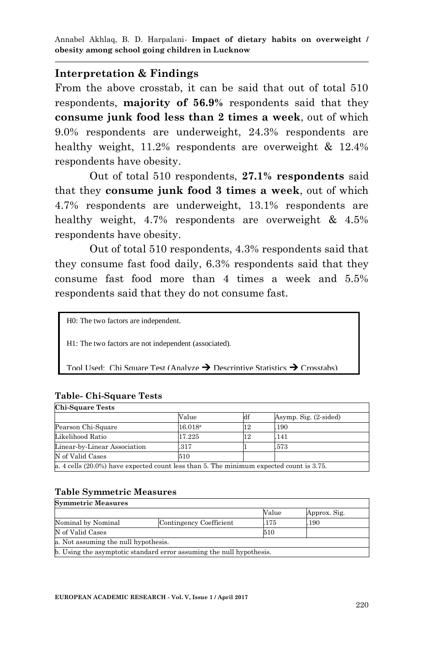#### **Interpretation & Findings**

From the above crosstab, it can be said that out of total 510 respondents, **majority of 56.9%** respondents said that they **consume junk food less than 2 times a week**, out of which 9.0% respondents are underweight, 24.3% respondents are healthy weight, 11.2% respondents are overweight & 12.4% respondents have obesity.

Out of total 510 respondents, **27.1% respondents** said that they **consume junk food 3 times a week**, out of which 4.7% respondents are underweight, 13.1% respondents are healthy weight, 4.7% respondents are overweight & 4.5% respondents have obesity.

Out of total 510 respondents, 4.3% respondents said that they consume fast food daily, 6.3% respondents said that they consume fast food more than 4 times a week and 5.5% respondents said that they do not consume fast.

H0: The two factors are independent.

H1: The two factors are not independent (associated).

Tool Used: Chi Square Test (Analyze  $\rightarrow$  Descriptive Statistics  $\rightarrow$  Crosstabs)

#### **Table- Chi-Square Tests**  $\overline{\mathbf{C}}$

| Uni-Square Tests                                                                           |                  |    |                       |  |  |  |
|--------------------------------------------------------------------------------------------|------------------|----|-----------------------|--|--|--|
|                                                                                            | Value            | df | Asymp. Sig. (2-sided) |  |  |  |
| Pearson Chi-Square                                                                         | $16.018^{\rm a}$ | 12 | .190                  |  |  |  |
| Likelihood Ratio                                                                           | 17.225           | 12 | .141                  |  |  |  |
| Linear-by-Linear Association                                                               | .317             |    | .573                  |  |  |  |
| N of Valid Cases                                                                           | 510              |    |                       |  |  |  |
| a. 4 cells $(20.0\%)$ have expected count less than 5. The minimum expected count is 3.75. |                  |    |                       |  |  |  |

#### **Table Symmetric Measures**

| <b>Symmetric Measures</b>            |                                                                      |       |              |  |  |  |  |
|--------------------------------------|----------------------------------------------------------------------|-------|--------------|--|--|--|--|
|                                      |                                                                      | Value | Approx. Sig. |  |  |  |  |
| Nominal by Nominal                   | Contingency Coefficient                                              | .175  | .190         |  |  |  |  |
| N of Valid Cases                     |                                                                      | 510   |              |  |  |  |  |
| a. Not assuming the null hypothesis. |                                                                      |       |              |  |  |  |  |
|                                      | b. Using the asymptotic standard error assuming the null hypothesis. |       |              |  |  |  |  |

ī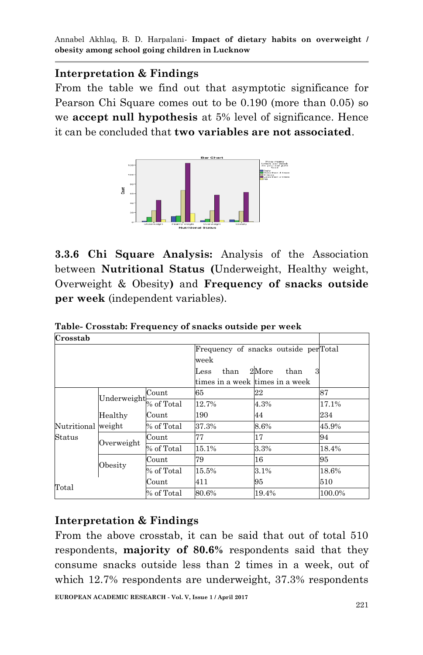## **Interpretation & Findings**

From the table we find out that asymptotic significance for Pearson Chi Square comes out to be 0.190 (more than 0.05) so we **accept null hypothesis** at 5% level of significance. Hence it can be concluded that **two variables are not associated**.



**3.3.6 Chi Square Analysis:** Analysis of the Association between **Nutritional Status (**Underweight, Healthy weight, Overweight & Obesity**)** and **Frequency of snacks outside per week** (independent variables).

| Crosstab           |                     |            |                                 |                                      |        |
|--------------------|---------------------|------------|---------------------------------|--------------------------------------|--------|
|                    |                     |            |                                 | Frequency of snacks outside perTotal |        |
|                    |                     |            | week                            |                                      |        |
|                    |                     |            | than<br>Less                    | 2More<br>than<br>3                   |        |
|                    |                     |            | times in a week times in a week |                                      |        |
|                    |                     | Count      | 65                              | 22                                   | 87     |
|                    | Underweight         | % of Total | 12.7%                           | 4.3%                                 | 17.1%  |
|                    | Healthy             | Count      | 190                             | 44                                   | 234    |
| Nutritional weight |                     | % of Total | 37.3%                           | 8.6%                                 | 45.9%  |
| Status             | Overweight          | Count      | 77                              | 17                                   | 94     |
|                    |                     | % of Total | 15.1%                           | 3.3%                                 | 18.4%  |
|                    |                     | Count      | 79                              | 16                                   | 95     |
|                    | Obesity             | % of Total | 15.5%                           | 3.1%                                 | 18.6%  |
|                    |                     | Count      | 411                             | 95                                   | 510    |
|                    | Total<br>% of Total |            | 80.6%                           | 19.4%                                | 100.0% |

**Table- Crosstab: Frequency of snacks outside per week**

## **Interpretation & Findings**

From the above crosstab, it can be said that out of total 510 respondents, **majority of 80.6%** respondents said that they consume snacks outside less than 2 times in a week, out of which 12.7% respondents are underweight, 37.3% respondents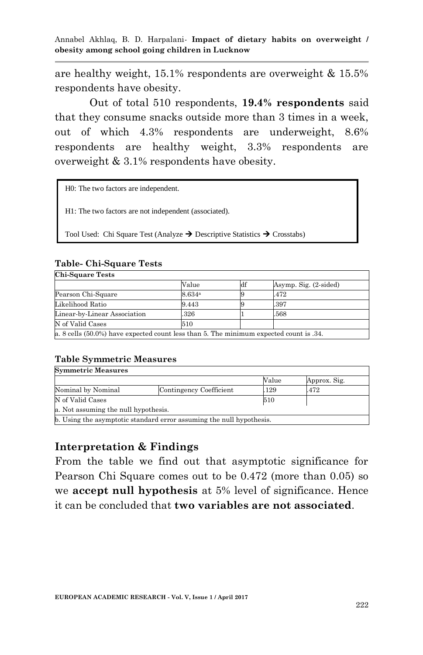are healthy weight, 15.1% respondents are overweight & 15.5% respondents have obesity.

Out of total 510 respondents, **19.4% respondents** said that they consume snacks outside more than 3 times in a week, out of which 4.3% respondents are underweight, 8.6% respondents are healthy weight, 3.3% respondents are overweight & 3.1% respondents have obesity.

| H0: The two factors are independent. |  |
|--------------------------------------|--|
|--------------------------------------|--|

H1: The two factors are not independent (associated).

Tool Used: Chi Square Test (Analyze  $\rightarrow$  Descriptive Statistics  $\rightarrow$  Crosstabs)

| <b>Chi-Square Tests</b>                                                                |        |    |                       |  |  |  |
|----------------------------------------------------------------------------------------|--------|----|-----------------------|--|--|--|
|                                                                                        | Value  | df | Asymp. Sig. (2-sided) |  |  |  |
| Pearson Chi-Square                                                                     | 8.634ª |    | .472                  |  |  |  |
| Likelihood Ratio                                                                       | 9.443  |    | .397                  |  |  |  |
| Linear-by-Linear Association                                                           | .326   |    | .568                  |  |  |  |
| N of Valid Cases                                                                       | 510    |    |                       |  |  |  |
| a. 8 cells (50.0%) have expected count less than 5. The minimum expected count is .34. |        |    |                       |  |  |  |

#### **Table- Chi-Square Tests**

#### **Table Symmetric Measures**

|                                      | Value | Approx. Sig.                                                         |
|--------------------------------------|-------|----------------------------------------------------------------------|
| Contingency Coefficient              | .129  | .472                                                                 |
|                                      | 510   |                                                                      |
| a. Not assuming the null hypothesis. |       |                                                                      |
|                                      |       |                                                                      |
|                                      |       | b. Using the asymptotic standard error assuming the null hypothesis. |

## **Interpretation & Findings**

From the table we find out that asymptotic significance for Pearson Chi Square comes out to be 0.472 (more than 0.05) so we **accept null hypothesis** at 5% level of significance. Hence it can be concluded that **two variables are not associated**.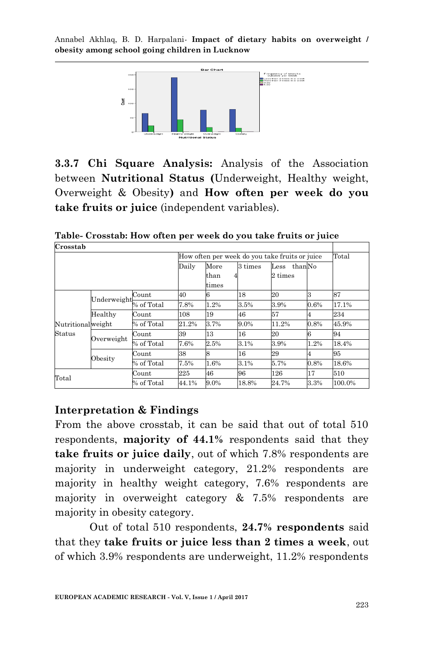

**3.3.7 Chi Square Analysis:** Analysis of the Association between **Nutritional Status (**Underweight, Healthy weight, Overweight & Obesity**)** and **How often per week do you take fruits or juice** (independent variables).

**Table- Crosstab: How often per week do you take fruits or juice**

| Crosstab          |             |            |                                                |               |       |         |      |        |
|-------------------|-------------|------------|------------------------------------------------|---------------|-------|---------|------|--------|
|                   |             |            | How often per week do you take fruits or juice |               | Total |         |      |        |
|                   |             |            | 3 times<br>thanNo<br>Daily<br>More<br>Less     |               |       |         |      |        |
|                   |             |            |                                                | than<br>times |       | 2 times |      |        |
|                   | Underweight | Count      | 40                                             |               | 18    | 20      | 3    | 87     |
|                   |             | % of Total | 7.8%                                           | $1.2\%$       | 3.5%  | 3.9%    | 0.6% | 17.1%  |
|                   | Healthy     | Count      | 108                                            | 19            | 46    | 57      | 4    | 234    |
| Nutritionalweight |             | % of Total | 21.2%                                          | 3.7%          | 9.0%  | 11.2%   | 0.8% | 45.9%  |
| Status            |             | Count      | 39                                             | 13            | 16    | 20      |      | 94     |
|                   | Overweight  | % of Total | 7.6%                                           | 2.5%          | 3.1%  | 3.9%    | 1.2% | 18.4%  |
|                   |             | Count      | 38                                             |               | 16    | 29      | 4    | 95     |
|                   | Obesity     | % of Total | 7.5%                                           | 1.6%          | 3.1%  | 5.7%    | 0.8% | 18.6%  |
| Total             |             | Count      | 225                                            | 46            | 96    | 126     | 17   | 510    |
|                   |             | % of Total | 44.1%                                          | 9.0%          | 18.8% | 24.7%   | 3.3% | 100.0% |

#### **Interpretation & Findings**

From the above crosstab, it can be said that out of total 510 respondents, **majority of 44.1%** respondents said that they **take fruits or juice daily**, out of which 7.8% respondents are majority in underweight category, 21.2% respondents are majority in healthy weight category, 7.6% respondents are majority in overweight category  $\&$  7.5% respondents are majority in obesity category.

Out of total 510 respondents, **24.7% respondents** said that they **take fruits or juice less than 2 times a week**, out of which 3.9% respondents are underweight, 11.2% respondents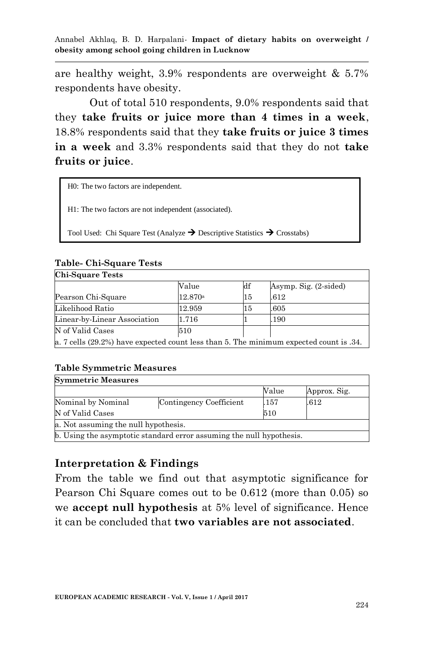are healthy weight, 3.9% respondents are overweight & 5.7% respondents have obesity.

Out of total 510 respondents, 9.0% respondents said that they **take fruits or juice more than 4 times in a week**, 18.8% respondents said that they **take fruits or juice 3 times in a week** and 3.3% respondents said that they do not **take fruits or juice**.

| H0: The two factors are independent.                                                              |
|---------------------------------------------------------------------------------------------------|
| H1: The two factors are not independent (associated).                                             |
| Tool Used: Chi Square Test (Analyze $\rightarrow$ Descriptive Statistics $\rightarrow$ Crosstabs) |

#### **Table- Chi-Square Tests Chi-Square Tests**

| <b>Chi-Square Tests</b>      |                                                                                        |                  |                       |  |  |  |  |  |
|------------------------------|----------------------------------------------------------------------------------------|------------------|-----------------------|--|--|--|--|--|
|                              | Value                                                                                  | $_{\mathrm{df}}$ | Asymp. Sig. (2-sided) |  |  |  |  |  |
| Pearson Chi-Square           | 12.870a                                                                                | 15               | .612                  |  |  |  |  |  |
| Likelihood Ratio             | 12.959                                                                                 | 15               | .605                  |  |  |  |  |  |
| Linear-by-Linear Association | 1.716                                                                                  |                  | .190                  |  |  |  |  |  |
| N of Valid Cases             | 510                                                                                    |                  |                       |  |  |  |  |  |
|                              | a. 7 cells (29.2%) have expected count less than 5. The minimum expected count is .34. |                  |                       |  |  |  |  |  |

#### **Table Symmetric Measures**

| <b>Symmetric Measures</b>                                            |                         |       |              |  |  |  |  |
|----------------------------------------------------------------------|-------------------------|-------|--------------|--|--|--|--|
|                                                                      |                         | Value | Approx. Sig. |  |  |  |  |
| Nominal by Nominal                                                   | Contingency Coefficient | .157  | .612         |  |  |  |  |
| N of Valid Cases                                                     |                         | 510   |              |  |  |  |  |
| a. Not assuming the null hypothesis.                                 |                         |       |              |  |  |  |  |
| b. Using the asymptotic standard error assuming the null hypothesis. |                         |       |              |  |  |  |  |

## **Interpretation & Findings**

From the table we find out that asymptotic significance for Pearson Chi Square comes out to be 0.612 (more than 0.05) so we **accept null hypothesis** at 5% level of significance. Hence it can be concluded that **two variables are not associated**.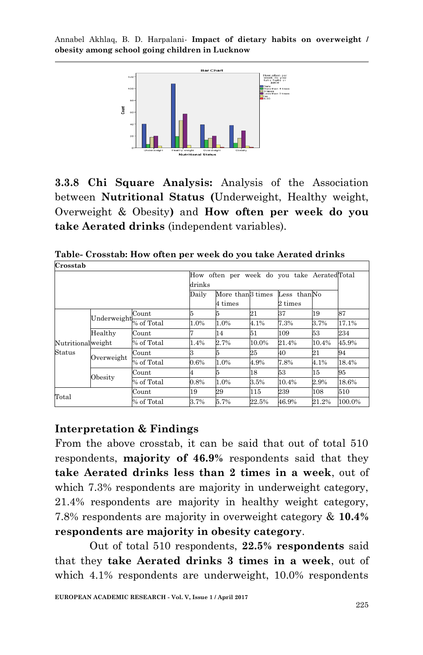

**3.3.8 Chi Square Analysis:** Analysis of the Association between **Nutritional Status (**Underweight, Healthy weight, Overweight & Obesity**)** and **How often per week do you take Aerated drinks** (independent variables).

| Crosstab          |             |            |                                                       |         |       |                   |       |        |  |
|-------------------|-------------|------------|-------------------------------------------------------|---------|-------|-------------------|-------|--------|--|
|                   |             |            | How often per week do you take AeratedTotal<br>drinks |         |       |                   |       |        |  |
|                   |             |            | More than <sup>3</sup> times<br>Daily<br>Less thanNo  |         |       |                   |       |        |  |
|                   |             |            |                                                       | 4 times |       | $2 \;{\rm times}$ |       |        |  |
|                   | Underweight | Count      | 5                                                     |         | 21    | 37                | 19    | 87     |  |
|                   |             | % of Total | 1.0%                                                  | 1.0%    | 4.1%  | 7.3%              | 3.7%  | 17.1%  |  |
|                   | Healthy     | Count      |                                                       | 14      | 51    | 109               | 53    | 234    |  |
| Nutritionalweight |             | % of Total | 1.4%                                                  | 2.7%    | 10.0% | 21.4%             | 10.4% | 45.9%  |  |
| <b>Status</b>     | Overweight  | Count      | з                                                     |         | 25    | 40                | 21    | 94     |  |
|                   |             | % of Total | 0.6%                                                  | 1.0%    | 4.9%  | 7.8%              | 4.1%  | 18.4%  |  |
|                   |             | Count      |                                                       |         | 18    | 53                | 15    | 95     |  |
|                   | Obesity     | % of Total | 0.8%                                                  | 1.0%    | 3.5%  | 10.4%             | 2.9%  | 18.6%  |  |
| $_{\rm Total}$    |             | Count      | 19                                                    | 29      | 115   | 239               | 108   | 510    |  |
|                   |             | % of Total | 3.7%                                                  | 5.7%    | 22.5% | 46.9%             | 21.2% | 100.0% |  |

**Table- Crosstab: How often per week do you take Aerated drinks**

## **Interpretation & Findings**

From the above crosstab, it can be said that out of total 510 respondents, **majority of 46.9%** respondents said that they **take Aerated drinks less than 2 times in a week**, out of which 7.3% respondents are majority in underweight category, 21.4% respondents are majority in healthy weight category, 7.8% respondents are majority in overweight category & **10.4% respondents are majority in obesity category**.

Out of total 510 respondents, **22.5% respondents** said that they **take Aerated drinks 3 times in a week**, out of which 4.1% respondents are underweight, 10.0% respondents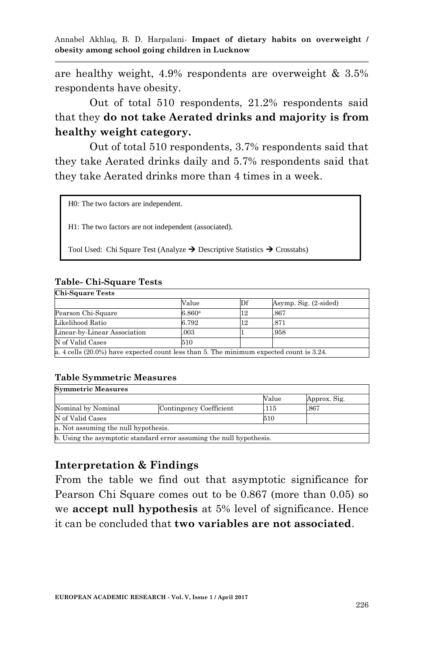are healthy weight, 4.9% respondents are overweight & 3.5% respondents have obesity.

Out of total 510 respondents, 21.2% respondents said that they **do not take Aerated drinks and majority is from healthy weight category.**

Out of total 510 respondents, 3.7% respondents said that they take Aerated drinks daily and 5.7% respondents said that they take Aerated drinks more than 4 times in a week.

H0: The two factors are independent.

H1: The two factors are not independent (associated).

Tool Used: Chi Square Test (Analyze  $\rightarrow$  Descriptive Statistics  $\rightarrow$  Crosstabs)

#### **Table- Chi-Square Tests**

| <b>Chi-Square Tests</b>                                                                    |                      |    |                       |  |  |  |  |
|--------------------------------------------------------------------------------------------|----------------------|----|-----------------------|--|--|--|--|
|                                                                                            | Value                | Df | Asymp. Sig. (2-sided) |  |  |  |  |
| Pearson Chi-Square                                                                         | $6.860$ <sup>a</sup> | 12 | .867                  |  |  |  |  |
| Likelihood Ratio                                                                           | 6.792                | 12 | .871                  |  |  |  |  |
| Linear-by-Linear Association                                                               | .003                 |    | .958                  |  |  |  |  |
| N of Valid Cases                                                                           | 510                  |    |                       |  |  |  |  |
| a. 4 cells $(20.0\%)$ have expected count less than 5. The minimum expected count is 3.24. |                      |    |                       |  |  |  |  |

#### **Table Symmetric Measures**

| <b>Symmetric Measures</b>            |                                                                      |       |              |  |  |  |  |
|--------------------------------------|----------------------------------------------------------------------|-------|--------------|--|--|--|--|
|                                      |                                                                      | Value | Approx. Sig. |  |  |  |  |
| Nominal by Nominal                   | Contingency Coefficient                                              | .115  | .867         |  |  |  |  |
| N of Valid Cases                     |                                                                      | 510   |              |  |  |  |  |
| a. Not assuming the null hypothesis. |                                                                      |       |              |  |  |  |  |
|                                      | b. Using the asymptotic standard error assuming the null hypothesis. |       |              |  |  |  |  |

#### **Interpretation & Findings**

From the table we find out that asymptotic significance for Pearson Chi Square comes out to be 0.867 (more than 0.05) so we **accept null hypothesis** at 5% level of significance. Hence it can be concluded that **two variables are not associated**.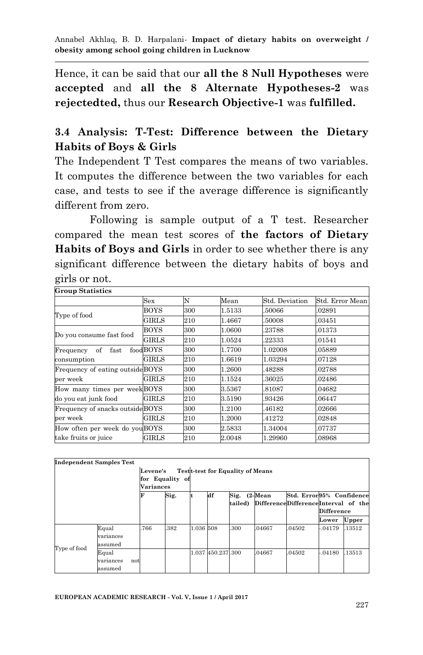Hence, it can be said that our **all the 8 Null Hypotheses** were **accepted** and **all the 8 Alternate Hypotheses-2** was **rejectedted,** thus our **Research Objective-1** was **fulfilled.**

# **3.4 Analysis: T-Test: Difference between the Dietary Habits of Boys & Girls**

The Independent T Test compares the means of two variables. It computes the difference between the two variables for each case, and tests to see if the average difference is significantly different from zero.

Following is sample output of a T test. Researcher compared the mean test scores of **the factors of Dietary Habits of Boys and Girls** in order to see whether there is any significant difference between the dietary habits of boys and girls or not. ٦

#### **Group Statistics**

|                                  | Sex          | N   | Mean   | Std. Deviation | Std. Error Mean |
|----------------------------------|--------------|-----|--------|----------------|-----------------|
| Type of food                     | BOYS         | 300 | 1.5133 | 50066          | .02891          |
|                                  | GIRLS        | 210 | 1.4667 | 50008          | .03451          |
| Do you consume fast food         | <b>BOYS</b>  | 300 | 1.0600 | .23788         | .01373          |
|                                  | GIRLS        | 210 | 1.0524 | .22333         | .01541          |
| Frequency of<br>fast             | foodBOYS     | 300 | 1.7700 | 1.02008        | .05889          |
| consumption                      | GIRLS        | 210 | 1.6619 | 1.03294        | .07128          |
| Frequency of eating outside BOYS |              | 300 | 1.2600 | 48288          | .02788          |
| per week                         | <b>GIRLS</b> | 210 | 1.1524 | .36025         | .02486          |
| How many times per weekBOYS      |              | 300 | 3.5367 | 81087          | .04682          |
| do you eat junk food             | <b>GIRLS</b> | 210 | 3.5190 | .93426         | .06447          |
| Frequency of snacks outside BOYS |              | 300 | 1.2100 | 46182          | .02666          |
| per week                         | <b>GIRLS</b> | 210 | 1.2000 | 41272          | .02848          |
| How often per week do youBOYS    |              | 300 | 2.5833 | 1.34004        | .07737          |
| take fruits or juice             | GIRLS        | 210 | 2.0048 | 1.29960        | .08968          |

#### **Independent Samples Test**

|              |                                      | <b>Levene's</b> |      |           |                   | <b>Testt-test for Equality of Means</b> |                                     |                          |                   |        |
|--------------|--------------------------------------|-----------------|------|-----------|-------------------|-----------------------------------------|-------------------------------------|--------------------------|-------------------|--------|
|              | for Equality of                      |                 |      |           |                   |                                         |                                     |                          |                   |        |
|              |                                      | Variances       |      |           |                   |                                         |                                     |                          |                   |        |
|              |                                      |                 | Sig. | lt        | df                | Sig. (2-Mean                            |                                     | Std. Error95% Confidence |                   |        |
|              |                                      |                 |      |           |                   | tailed)                                 | DifferenceDifferenceInterval of the |                          |                   |        |
|              |                                      |                 |      |           |                   |                                         |                                     |                          | <b>Difference</b> |        |
|              |                                      |                 |      |           |                   |                                         |                                     |                          | Lower             | Upper  |
| Type of food | Equal<br>variances<br>assumed        | .766            | .382 | 1.036 508 |                   | .300                                    | .04667                              | 04502                    | $-0.04179$        | .13512 |
|              | Equal<br>variances<br>not<br>assumed |                 |      |           | 1.037 450.237 300 |                                         | 04667                               | .04502                   | $-0.04180$        | .13513 |

Ī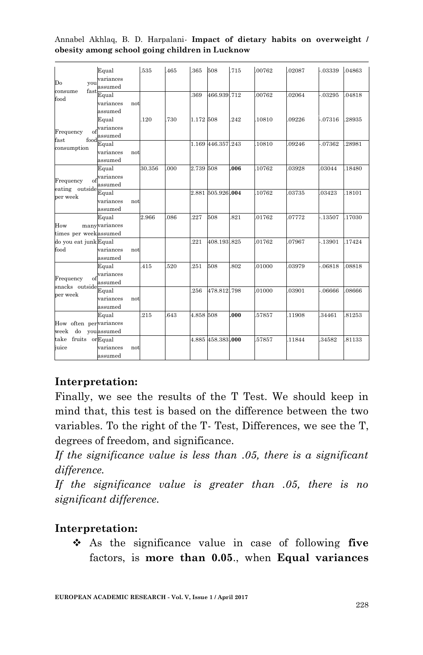| Do                                                                                                                                                                                                                       | Equal<br>variances<br>assumed        | .535   | 465  | .365      | 508               | .715 | .00762 | 02087 | -.03339  | .04863 |
|--------------------------------------------------------------------------------------------------------------------------------------------------------------------------------------------------------------------------|--------------------------------------|--------|------|-----------|-------------------|------|--------|-------|----------|--------|
| food                                                                                                                                                                                                                     | Equal<br>variances<br>not<br>assumed |        |      | 369       | 466.939.712       |      | .00762 | 02064 | $-03295$ | .04818 |
| Frequency<br>of                                                                                                                                                                                                          | Equal<br>variances<br>assumed        | .120   | .730 | 1.172 508 |                   | 242  | 10810  | 09226 | $-07316$ | .28935 |
| consumption                                                                                                                                                                                                              | Equal<br>variances<br>not<br>assumed |        |      |           | 1.169 446.357.243 |      | 10810  | 09246 | $-07362$ | .28981 |
| Frequency                                                                                                                                                                                                                | Equal<br>variances<br>assumed        | 30.356 | .000 | 2.739 508 |                   | .006 | 10762  | 03928 | .03044   | .18480 |
| per week                                                                                                                                                                                                                 | Equal<br>variances<br>not<br>assumed |        |      |           | 2.881 505.926.004 |      | 10762  | 03735 | .03423   | .18101 |
| you<br>consume<br>fast<br>food<br>fast<br>of<br>eating outside<br>How<br>times per weekassumed<br>do you eat junk Equal<br>food<br>Frequency<br>of<br>snacks outside<br>per week<br>week<br>take fruits orEqual<br>iuice | Equal<br>manyvariances               | 2.966  | .086 | 227       | 508               | .821 | .01762 | 07772 | $-13507$ | .17030 |
|                                                                                                                                                                                                                          | variances<br>not<br>assumed          |        |      | 221       | 408.193.825       |      | .01762 | 07967 | $-13901$ | .17424 |
|                                                                                                                                                                                                                          | Equal<br>variances<br>assumed        | 415    | 520  | .251      | 508               | .802 | .01000 | 03979 | $-06818$ | .08818 |
|                                                                                                                                                                                                                          | Equal<br>variances<br>not<br>assumed |        |      | 256       | 478.812.798       |      | .01000 | 03901 | $-06666$ | 08666  |
| How often pervariances                                                                                                                                                                                                   | Equal<br>do you assumed              | .215   | 643  | 4.858 508 |                   | .000 | 57857  | 11908 | 34461    | 81253  |
|                                                                                                                                                                                                                          | variances<br>not<br>assumed          |        |      |           | 4.885 458.383.000 |      | 57857  | 11844 | .34582   | 81133  |

Annabel Akhlaq, B. D. Harpalani*-* **Impact of dietary habits on overweight / obesity among school going children in Lucknow**

# **Interpretation:**

Finally, we see the results of the T Test. We should keep in mind that, this test is based on the difference between the two variables. To the right of the T- Test, Differences, we see the T, degrees of freedom, and significance.

*If the significance value is less than .05, there is a significant difference.*

*If the significance value is greater than .05, there is no significant difference.*

## **Interpretation:**

 As the significance value in case of following **five**  factors, is **more than 0.05**., when **Equal variances**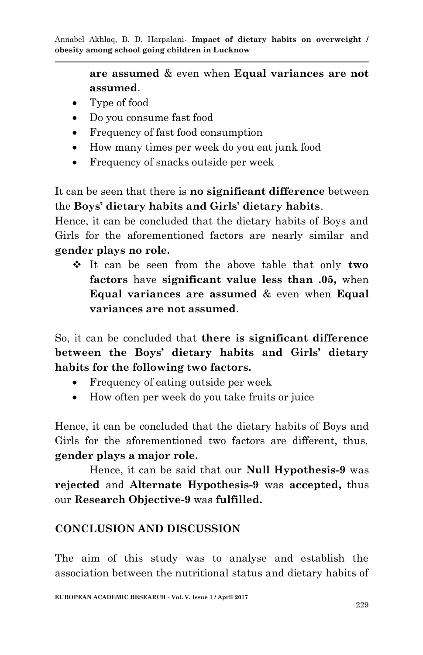> **are assumed** & even when **Equal variances are not assumed**.

- Type of food
- Do you consume fast food
- Frequency of fast food consumption
- How many times per week do you eat junk food
- Frequency of snacks outside per week

It can be seen that there is **no significant difference** between the **Boys' dietary habits and Girls' dietary habits**.

Hence, it can be concluded that the dietary habits of Boys and Girls for the aforementioned factors are nearly similar and **gender plays no role.**

 It can be seen from the above table that only **two factors** have **significant value less than .05,** when **Equal variances are assumed** & even when **Equal variances are not assumed**.

So, it can be concluded that **there is significant difference between the Boys' dietary habits and Girls' dietary habits for the following two factors.**

- Frequency of eating outside per week
- How often per week do you take fruits or juice

Hence, it can be concluded that the dietary habits of Boys and Girls for the aforementioned two factors are different, thus, **gender plays a major role.**

Hence, it can be said that our **Null Hypothesis-9** was **rejected** and **Alternate Hypothesis-9** was **accepted,** thus our **Research Objective-9** was **fulfilled.**

# **CONCLUSION AND DISCUSSION**

The aim of this study was to analyse and establish the association between the nutritional status and dietary habits of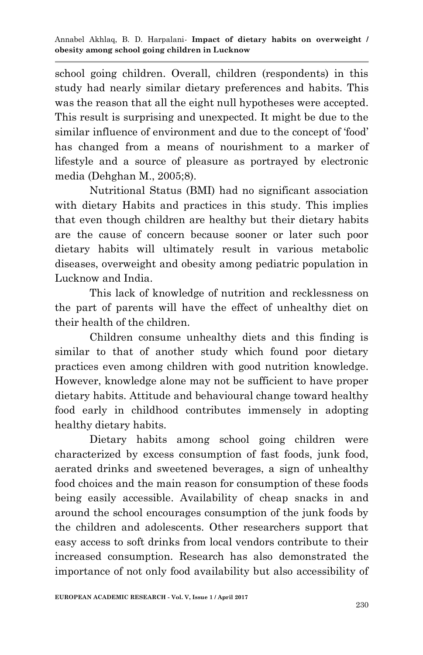school going children. Overall, children (respondents) in this study had nearly similar dietary preferences and habits. This was the reason that all the eight null hypotheses were accepted. This result is surprising and unexpected. It might be due to the similar influence of environment and due to the concept of "food" has changed from a means of nourishment to a marker of lifestyle and a source of pleasure as portrayed by electronic media (Dehghan M., 2005;8).

Nutritional Status (BMI) had no significant association with dietary Habits and practices in this study. This implies that even though children are healthy but their dietary habits are the cause of concern because sooner or later such poor dietary habits will ultimately result in various metabolic diseases, overweight and obesity among pediatric population in Lucknow and India.

This lack of knowledge of nutrition and recklessness on the part of parents will have the effect of unhealthy diet on their health of the children.

Children consume unhealthy diets and this finding is similar to that of another study which found poor dietary practices even among children with good nutrition knowledge. However, knowledge alone may not be sufficient to have proper dietary habits. Attitude and behavioural change toward healthy food early in childhood contributes immensely in adopting healthy dietary habits.

Dietary habits among school going children were characterized by excess consumption of fast foods, junk food, aerated drinks and sweetened beverages, a sign of unhealthy food choices and the main reason for consumption of these foods being easily accessible. Availability of cheap snacks in and around the school encourages consumption of the junk foods by the children and adolescents. Other researchers support that easy access to soft drinks from local vendors contribute to their increased consumption. Research has also demonstrated the importance of not only food availability but also accessibility of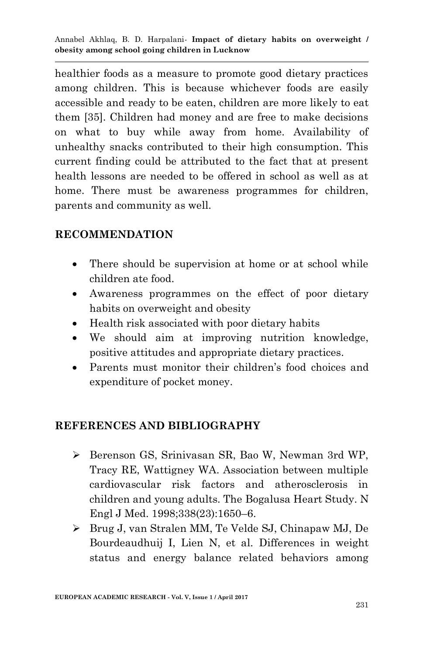healthier foods as a measure to promote good dietary practices among children. This is because whichever foods are easily accessible and ready to be eaten, children are more likely to eat them [35]. Children had money and are free to make decisions on what to buy while away from home. Availability of unhealthy snacks contributed to their high consumption. This current finding could be attributed to the fact that at present health lessons are needed to be offered in school as well as at home. There must be awareness programmes for children, parents and community as well.

## **RECOMMENDATION**

- There should be supervision at home or at school while children ate food.
- Awareness programmes on the effect of poor dietary habits on overweight and obesity
- Health risk associated with poor dietary habits
- We should aim at improving nutrition knowledge, positive attitudes and appropriate dietary practices.
- Parents must monitor their children"s food choices and expenditure of pocket money.

#### **REFERENCES AND BIBLIOGRAPHY**

- Berenson GS, Srinivasan SR, Bao W, Newman 3rd WP, Tracy RE, Wattigney WA. Association between multiple cardiovascular risk factors and atherosclerosis in children and young adults. The Bogalusa Heart Study. N Engl J Med. 1998;338(23):1650–6.
- Brug J, van Stralen MM, Te Velde SJ, Chinapaw MJ, De Bourdeaudhuij I, Lien N, et al. Differences in weight status and energy balance related behaviors among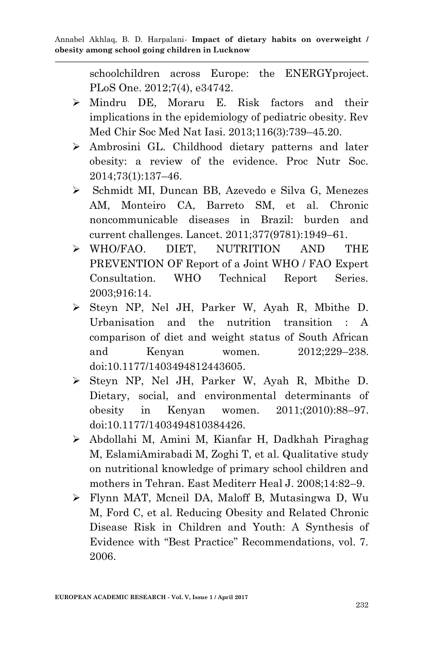schoolchildren across Europe: the ENERGYproject. PLoS One. 2012;7(4), e34742.

- Mindru DE, Moraru E. Risk factors and their implications in the epidemiology of pediatric obesity. Rev Med Chir Soc Med Nat Iasi. 2013;116(3):739–45.20.
- Ambrosini GL. Childhood dietary patterns and later obesity: a review of the evidence. Proc Nutr Soc. 2014;73(1):137–46.
- Schmidt MI, Duncan BB, Azevedo e Silva G, Menezes AM, Monteiro CA, Barreto SM, et al. Chronic noncommunicable diseases in Brazil: burden and current challenges. Lancet. 2011;377(9781):1949–61.
- WHO/FAO. DIET, NUTRITION AND THE PREVENTION OF Report of a Joint WHO / FAO Expert Consultation. WHO Technical Report Series. 2003;916:14.
- Steyn NP, Nel JH, Parker W, Ayah R, Mbithe D. Urbanisation and the nutrition transition : A comparison of diet and weight status of South African and Kenyan women. 2012;229–238. doi:10.1177/1403494812443605.
- Steyn NP, Nel JH, Parker W, Ayah R, Mbithe D. Dietary, social, and environmental determinants of obesity in Kenyan women. 2011;(2010):88–97. doi:10.1177/1403494810384426.
- Abdollahi M, Amini M, Kianfar H, Dadkhah Piraghag M, EslamiAmirabadi M, Zoghi T, et al. Qualitative study on nutritional knowledge of primary school children and mothers in Tehran. East Mediterr Heal J. 2008;14:82–9.
- Flynn MAT, Mcneil DA, Maloff B, Mutasingwa D, Wu M, Ford C, et al. Reducing Obesity and Related Chronic Disease Risk in Children and Youth: A Synthesis of Evidence with "Best Practice" Recommendations, vol. 7. 2006.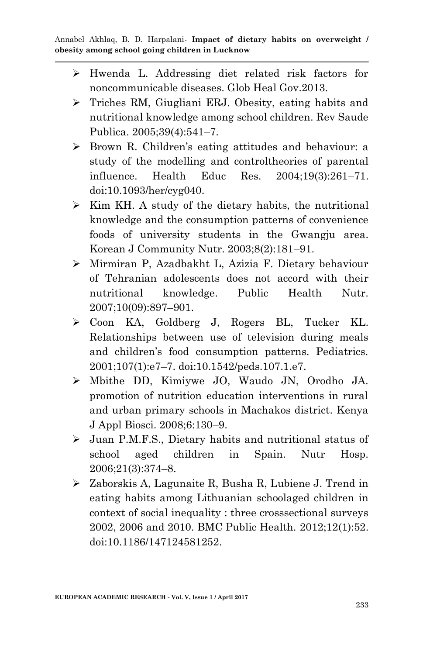- Hwenda L. Addressing diet related risk factors for noncommunicable diseases. Glob Heal Gov.2013.
- Triches RM, Giugliani ERJ. Obesity, eating habits and nutritional knowledge among school children. Rev Saude Publica. 2005;39(4):541–7.
- Brown R. Children"s eating attitudes and behaviour: a study of the modelling and controltheories of parental influence. Health Educ Res. 2004;19(3):261–71. doi:10.1093/her/cyg040.
- $\triangleright$  Kim KH. A study of the dietary habits, the nutritional knowledge and the consumption patterns of convenience foods of university students in the Gwangju area. Korean J Community Nutr. 2003;8(2):181–91.
- Mirmiran P, Azadbakht L, Azizia F. Dietary behaviour of Tehranian adolescents does not accord with their nutritional knowledge. Public Health Nutr. 2007;10(09):897–901.
- Coon KA, Goldberg J, Rogers BL, Tucker KL. Relationships between use of television during meals and children"s food consumption patterns. Pediatrics. 2001;107(1):e7–7. doi:10.1542/peds.107.1.e7.
- Mbithe DD, Kimiywe JO, Waudo JN, Orodho JA. promotion of nutrition education interventions in rural and urban primary schools in Machakos district. Kenya J Appl Biosci. 2008;6:130–9.
- Juan P.M.F.S., Dietary habits and nutritional status of school aged children in Spain. Nutr Hosp. 2006;21(3):374–8.
- Zaborskis A, Lagunaite R, Busha R, Lubiene J. Trend in eating habits among Lithuanian schoolaged children in context of social inequality : three crosssectional surveys 2002, 2006 and 2010. BMC Public Health. 2012;12(1):52. doi:10.1186/147124581252.